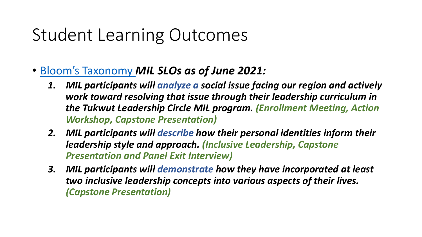## Student Learning Outcomes

- [Bloom's Taxonomy](https://cft.vanderbilt.edu/guides-sub-pages/blooms-taxonomy/) *MIL SLOs as of June 2021:* 
	- *1. MIL participants will analyze a social issue facing our region and actively work toward resolving that issue through their leadership curriculum in the Tukwut Leadership Circle MIL program. (Enrollment Meeting, Action Workshop, Capstone Presentation)*
	- *2. MIL participants will describe how their personal identities inform their leadership style and approach. (Inclusive Leadership, Capstone Presentation and Panel Exit Interview)*
	- *3. MIL participants will demonstrate how they have incorporated at least two inclusive leadership concepts into various aspects of their lives. (Capstone Presentation)*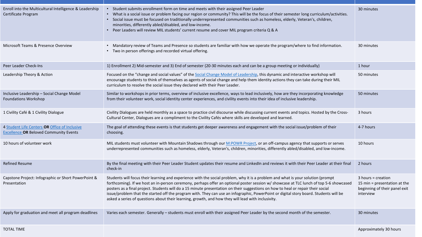| Enroll into the Multicultural Intelligence & Leadership<br>Certificate Program                 | • Student submits enrollment form on time and meets with their assigned Peer Leader<br>What is a social issue or problem facing our region or community? This will be the focus of their semester long curriculum/activities.<br>Social issue must be focused on traditionally underrepresented communities such as homeless, elderly, Veteran's, children,<br>minorities, differently abled/disabled, and low-income.<br>Peer Leaders will review MIL students' current resume and cover MIL program criteria Q & A                                                                                                                                          | 30 minutes                                                                                         |
|------------------------------------------------------------------------------------------------|---------------------------------------------------------------------------------------------------------------------------------------------------------------------------------------------------------------------------------------------------------------------------------------------------------------------------------------------------------------------------------------------------------------------------------------------------------------------------------------------------------------------------------------------------------------------------------------------------------------------------------------------------------------|----------------------------------------------------------------------------------------------------|
| Microsoft Teams & Presence Overview                                                            | • Mandatory review of Teams and Presence so students are familiar with how we operate the program/where to find information.<br>Two in person offerings and recorded virtual offering.                                                                                                                                                                                                                                                                                                                                                                                                                                                                        | 30 minutes                                                                                         |
| Peer Leader Check-Ins                                                                          | 1) Enrollment 2) Mid-semester and 3) End of semester (20-30 minutes each and can be a group meeting or individually)                                                                                                                                                                                                                                                                                                                                                                                                                                                                                                                                          | 1 hour                                                                                             |
| Leadership Theory & Action                                                                     | Focused on the "change and social values" of the Social Change Model of Leadership, this dynamic and interactive workshop will<br>encourage students to think of themselves as agents of social change and help them identity actions they can take during their MIL<br>curriculum to resolve the social issue they declared with their Peer Leader.                                                                                                                                                                                                                                                                                                          | 50 minutes                                                                                         |
| Inclusive Leadership - Social Change Model<br><b>Foundations Workshop</b>                      | Similar to workshops in prior terms, overview of inclusive excellence, ways to lead inclusively, how are they incorporating knowledge<br>from their volunteer work, social identity center experiences, and civility events into their idea of inclusive leadership.                                                                                                                                                                                                                                                                                                                                                                                          | 50 minutes                                                                                         |
| 1 Civility Café & 1 Civility Dialogue                                                          | Civility Dialogues are held monthly as a space to practice civil discourse while discussing current events and topics. Hosted by the Cross-<br>Cultural Center, Dialogues are a compliment to the Civility Cafés where skills are developed and learned.                                                                                                                                                                                                                                                                                                                                                                                                      | 3 hours                                                                                            |
| 4 Student Life Centers OR Office of Inclusive<br><b>Excellence OR Beloved Community Events</b> | The goal of attending these events is that students get deeper awareness and engagement with the social issue/problem of their<br>choosing.                                                                                                                                                                                                                                                                                                                                                                                                                                                                                                                   | 4-7 hours                                                                                          |
| 10 hours of volunteer work                                                                     | MIL students must volunteer with Mountain Shadows through our M:POWR Project, or an off-campus agency that supports or serves<br>underrepresented communities such as homeless, elderly, Veteran's, children, minorities, differently abled/disabled, and low-income.                                                                                                                                                                                                                                                                                                                                                                                         | 10 hours                                                                                           |
| <b>Refined Resume</b>                                                                          | By the final meeting with their Peer Leader Student updates their resume and LinkedIn and reviews it with their Peer Leader at their final<br>check-in                                                                                                                                                                                                                                                                                                                                                                                                                                                                                                        | 2 hours                                                                                            |
| Capstone Project: Infographic or Short PowerPoint &<br>Presentation                            | Students will focus their learning and experience with the social problem, why it is a problem and what is your solution (prompt<br>forthcoming). If we host an in-person ceremony, perhaps offer an optional poster session w/ showcase at TLC lunch of top 5-6 showcased<br>posters as a final project. Students will do a 15 minute presentation on their suggestions on how to heal or repair their social<br>issue/problem that the started off the program with. They can use an infographic, PowerPoint or digital story board. Students will be<br>asked a series of questions about their learning, growth, and how they will lead with inclusivity. | $3$ hours = creation<br>15 min = presentation at the<br>beginning of their panel exit<br>interview |
| Apply for graduation and meet all program deadlines                                            | Varies each semester. Generally - students must enroll with their assigned Peer Leader by the second month of the semester.                                                                                                                                                                                                                                                                                                                                                                                                                                                                                                                                   | 30 minutes                                                                                         |
| <b>TOTAL TIME</b>                                                                              |                                                                                                                                                                                                                                                                                                                                                                                                                                                                                                                                                                                                                                                               | Approximately 30 hours                                                                             |